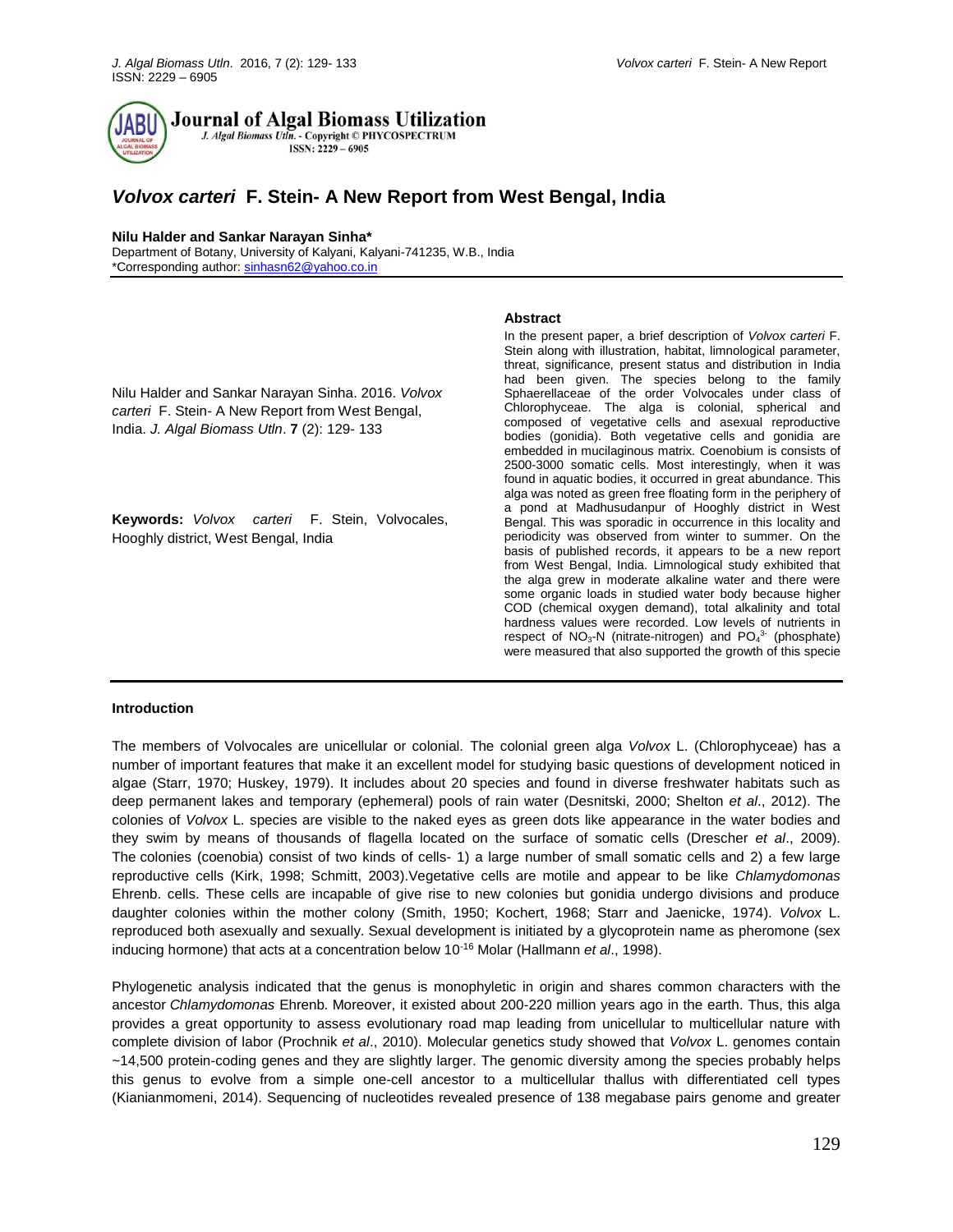

**Journal of Algal Biomass Utilization** 

J. Algal Biomass Utln. - Copyright © PHYCOSPECTRUM ISSN: 2229 - 6905

# *Volvox carteri* **F. Stein- A New Report from West Bengal, India**

#### **Nilu Halder and Sankar Narayan Sinha\***

Department of Botany, University of Kalyani, Kalyani-741235, W.B., India \*Corresponding author: [sinhasn62@yahoo.co.in](mailto:sinhasn62@yahoo.co.in)

# **Abstract**

Nilu Halder and Sankar Narayan Sinha. 2016. *Volvox carteri* F. Stein- A New Report from West Bengal, India. *J. Algal Biomass Utln*. **7** (2): 129- 133

**Keywords:** *Volvox carteri* F. Stein, Volvocales, Hooghly district, West Bengal, India

In the present paper, a brief description of *Volvox carteri* F. Stein along with illustration, habitat, limnological parameter, threat, significance, present status and distribution in India had been given. The species belong to the family Sphaerellaceae of the order Volvocales under class of Chlorophyceae. The alga is colonial, spherical and composed of vegetative cells and asexual reproductive bodies (gonidia). Both vegetative cells and gonidia are embedded in mucilaginous matrix. Coenobium is consists of 2500-3000 somatic cells. Most interestingly, when it was found in aquatic bodies, it occurred in great abundance. This alga was noted as green free floating form in the periphery of a pond at Madhusudanpur of Hooghly district in West Bengal. This was sporadic in occurrence in this locality and periodicity was observed from winter to summer. On the basis of published records, it appears to be a new report from West Bengal, India. Limnological study exhibited that the alga grew in moderate alkaline water and there were some organic loads in studied water body because higher COD (chemical oxygen demand), total alkalinity and total hardness values were recorded. Low levels of nutrients in respect of  $NO<sub>3</sub>$ -N (nitrate-nitrogen) and  $PO<sub>4</sub><sup>3</sup>$  (phosphate) were measured that also supported the growth of this specie

# **Introduction**

The members of Volvocales are unicellular or colonial. The colonial green alga *Volvox* L. (Chlorophyceae) has a number of important features that make it an excellent model for studying basic questions of development noticed in algae (Starr, 1970; Huskey, 1979). It includes about 20 species and found in diverse freshwater habitats such as deep permanent lakes and temporary (ephemeral) pools of rain water (Desnitski, 2000; Shelton *et al*., 2012). The colonies of *Volvox* L. species are visible to the naked eyes as green dots like appearance in the water bodies and they swim by means of thousands of flagella located on the surface of somatic cells (Drescher *et al*., 2009). The colonies (coenobia) consist of two kinds of cells- 1) a large number of small somatic cells and 2) a few large reproductive cells (Kirk, 1998; Schmitt, 2003).Vegetative cells are motile and appear to be like *Chlamydomonas* Ehrenb. cells. These cells are incapable of give rise to new colonies but gonidia undergo divisions and produce daughter colonies within the mother colony (Smith, 1950; Kochert, 1968; Starr and Jaenicke, 1974). *Volvox* L. reproduced both asexually and sexually. Sexual development is initiated by a glycoprotein name as pheromone (sex inducing hormone) that acts at a concentration below 10-16 Molar (Hallmann *et al*., 1998).

Phylogenetic analysis indicated that the genus is monophyletic in origin and shares common characters with the ancestor *Chlamydomonas* Ehrenb*.* Moreover, it existed about 200-220 million years ago in the earth. Thus, this alga provides a great opportunity to assess evolutionary road map leading from unicellular to multicellular nature with complete division of labor (Prochnik *et al*., 2010). Molecular genetics study showed that *Volvox* L. genomes contain ~14,500 protein-coding genes and they are slightly larger. The genomic diversity among the species probably helps this genus to evolve from a simple one-cell ancestor to a multicellular thallus with differentiated cell type[s](http://www.ncbi.nlm.nih.gov/pubmed/?term=Kianianmomeni%20A%5Bauth%5D) [\(Kianianmomeni,](http://www.ncbi.nlm.nih.gov/pubmed/?term=Kianianmomeni%20A%5Bauth%5D) 2014). Sequencing of nucleotides revealed presence of 138 megabase pairs genome and greater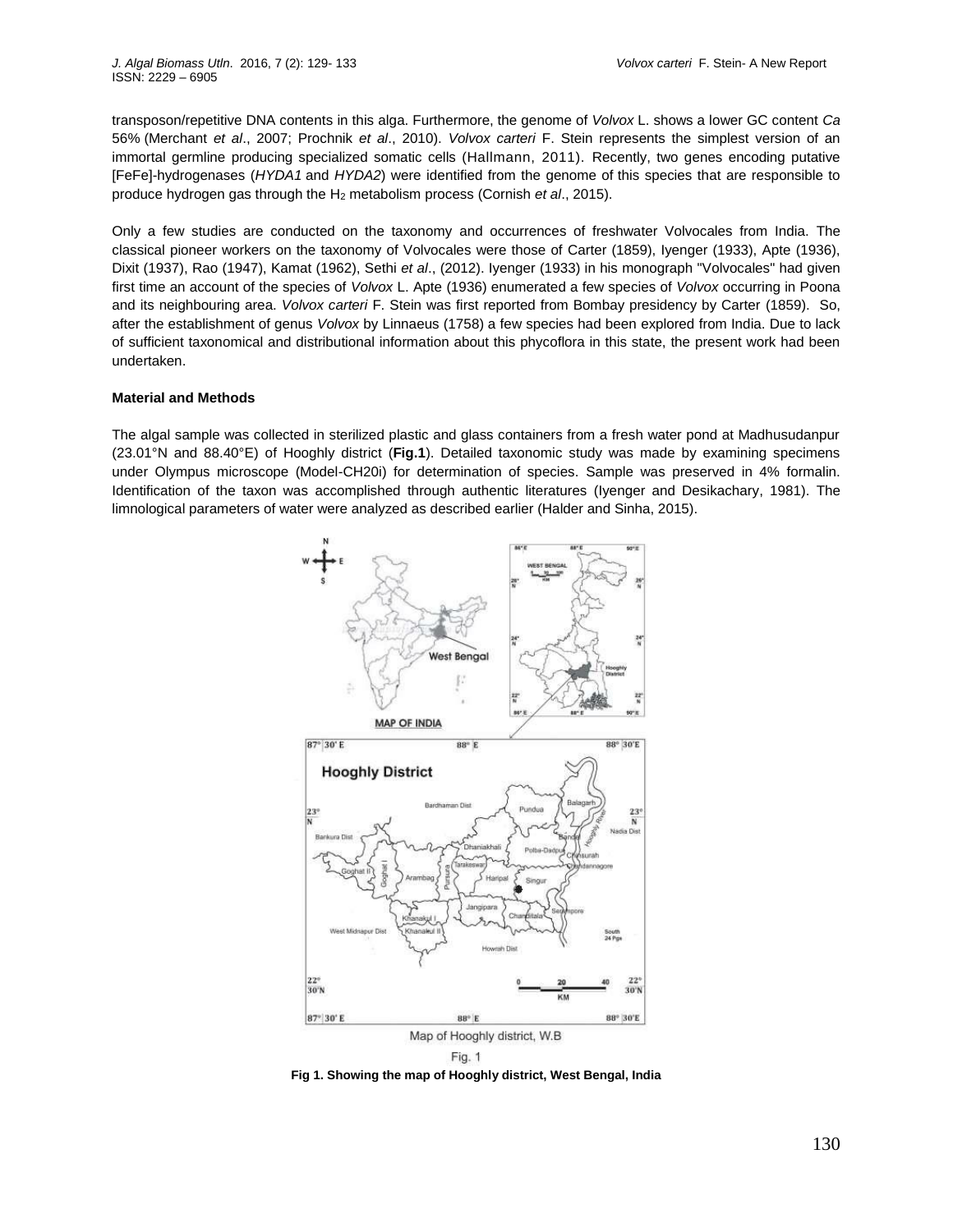transposon/repetitive DNA contents in this alga. Furthermore, the genome of *Volvox* L. shows a lower GC content *Ca* 56% (Merchant *et al*., 2007; Prochnik *et al*., 2010). *Volvox carteri* F. Stein represents the simplest version of an immortal germline producing specialized somatic cells (Hallmann, 2011). Recently, two genes encoding putative [FeFe]-hydrogenases (*HYDA1* and *HYDA2*) were identified from the genome of this species that are responsible to produce hydrogen gas through the H<sup>2</sup> metabolism process (Cornish *et al*., 2015).

Only a few studies are conducted on the taxonomy and occurrences of freshwater Volvocales from India. The classical pioneer workers on the taxonomy of Volvocales were those of Carter (1859), Iyenger (1933), Apte (1936), Dixit (1937), Rao (1947), Kamat (1962), Sethi *et al*., (2012). Iyenger (1933) in his monograph "Volvocales" had given first time an account of the species of *Volvox* L. Apte (1936) enumerated a few species of *Volvox* occurring in Poona and its neighbouring area. *Volvox carteri* F. Stein was first reported from Bombay presidency by Carter (1859). So, after the establishment of genus *Volvox* by Linnaeus (1758) a few species had been explored from India. Due to lack of sufficient taxonomical and distributional information about this phycoflora in this state, the present work had been undertaken.

#### **Material and Methods**

The algal sample was collected in sterilized plastic and glass containers from a fresh water pond at Madhusudanpur (23.01°N and 88.40°E) of Hooghly district (**Fig.1**). Detailed taxonomic study was made by examining specimens under Olympus microscope (Model-CH20i) for determination of species. Sample was preserved in 4% formalin. Identification of the taxon was accomplished through authentic literatures (Iyenger and Desikachary, 1981). The limnological parameters of water were analyzed as described earlier (Halder and Sinha, 2015).



**Fig 1. Showing the map of Hooghly district, West Bengal, India**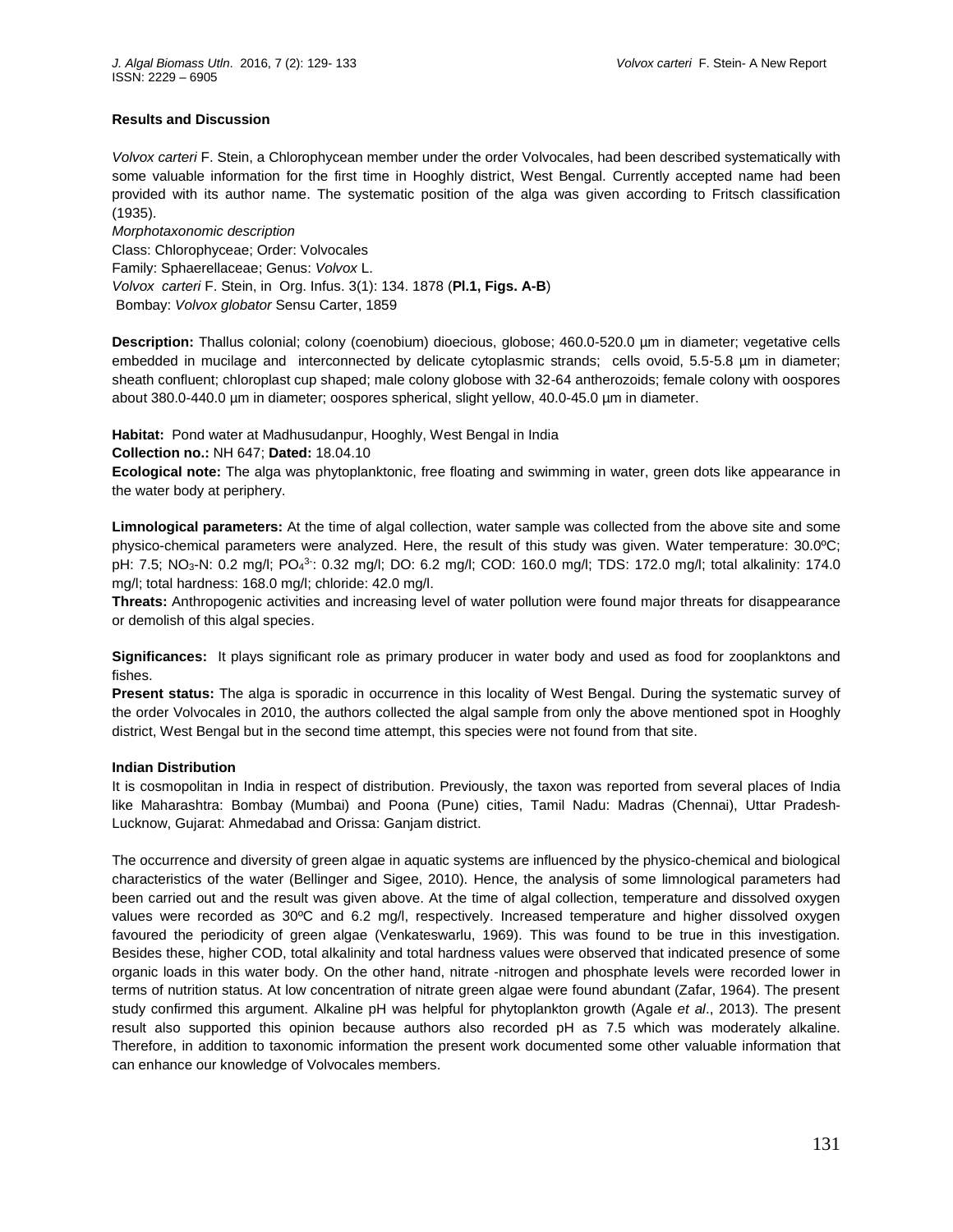# **Results and Discussion**

*Volvox carteri* F. Stein, a Chlorophycean member under the order Volvocales, had been described systematically with some valuable information for the first time in Hooghly district, West Bengal. Currently accepted name had been provided with its author name. The systematic position of the alga was given according to Fritsch classification (1935).

*Morphotaxonomic description* Class: Chlorophyceae; Order: Volvocales Family: Sphaerellaceae; Genus: *Volvox* L. *Volvox carteri* F. Stein, in Org. Infus. 3(1): 134. 1878 (**Pl.1, Figs. A-B**) Bombay: *Volvox globator* Sensu Carter, 1859

**Description:** Thallus colonial; colony (coenobium) dioecious, globose; 460.0-520.0 µm in diameter; vegetative cells embedded in mucilage and interconnected by delicate cytoplasmic strands; cells ovoid, 5.5-5.8 µm in diameter; sheath confluent; chloroplast cup shaped; male colony globose with 32-64 antherozoids; female colony with oospores about 380.0-440.0 µm in diameter; oospores spherical, slight yellow, 40.0-45.0 µm in diameter.

**Habitat:** Pond water at Madhusudanpur, Hooghly, West Bengal in India

# **Collection no.:** NH 647; **Dated:** 18.04.10

**Ecological note:** The alga was phytoplanktonic, free floating and swimming in water, green dots like appearance in the water body at periphery.

**Limnological parameters:** At the time of algal collection, water sample was collected from the above site and some physico-chemical parameters were analyzed. Here, the result of this study was given. Water temperature: 30.0ºC; pH: 7.5; NO<sub>3</sub>-N: 0.2 mg/l; PO<sub>4</sub><sup>3-</sup>: 0.32 mg/l; DO: 6.2 mg/l; COD: 160.0 mg/l; TDS: 172.0 mg/l; total alkalinity: 174.0 mg/l; total hardness: 168.0 mg/l; chloride: 42.0 mg/l.

**Threats:** Anthropogenic activities and increasing level of water pollution were found major threats for disappearance or demolish of this algal species.

**Significances:** It plays significant role as primary producer in water body and used as food for zooplanktons and fishes.

**Present status:** The alga is sporadic in occurrence in this locality of West Bengal. During the systematic survey of the order Volvocales in 2010, the authors collected the algal sample from only the above mentioned spot in Hooghly district, West Bengal but in the second time attempt, this species were not found from that site.

# **Indian Distribution**

It is cosmopolitan in India in respect of distribution. Previously, the taxon was reported from several places of India like Maharashtra: Bombay (Mumbai) and Poona (Pune) cities, Tamil Nadu: Madras (Chennai), Uttar Pradesh-Lucknow, Gujarat: Ahmedabad and Orissa: Ganjam district.

The occurrence and diversity of green algae in aquatic systems are influenced by the physico-chemical and biological characteristics of the water (Bellinger and Sigee, 2010). Hence, the analysis of some limnological parameters had been carried out and the result was given above. At the time of algal collection, temperature and dissolved oxygen values were recorded as 30ºC and 6.2 mg/l, respectively. Increased temperature and higher dissolved oxygen favoured the periodicity of green algae (Venkateswarlu, 1969). This was found to be true in this investigation. Besides these, higher COD, total alkalinity and total hardness values were observed that indicated presence of some organic loads in this water body. On the other hand, nitrate -nitrogen and phosphate levels were recorded lower in terms of nutrition status. At low concentration of nitrate green algae were found abundant (Zafar, 1964). The present study confirmed this argument. Alkaline pH was helpful for phytoplankton growth (Agale *et al*., 2013). The present result also supported this opinion because authors also recorded pH as 7.5 which was moderately alkaline. Therefore, in addition to taxonomic information the present work documented some other valuable information that can enhance our knowledge of Volvocales members.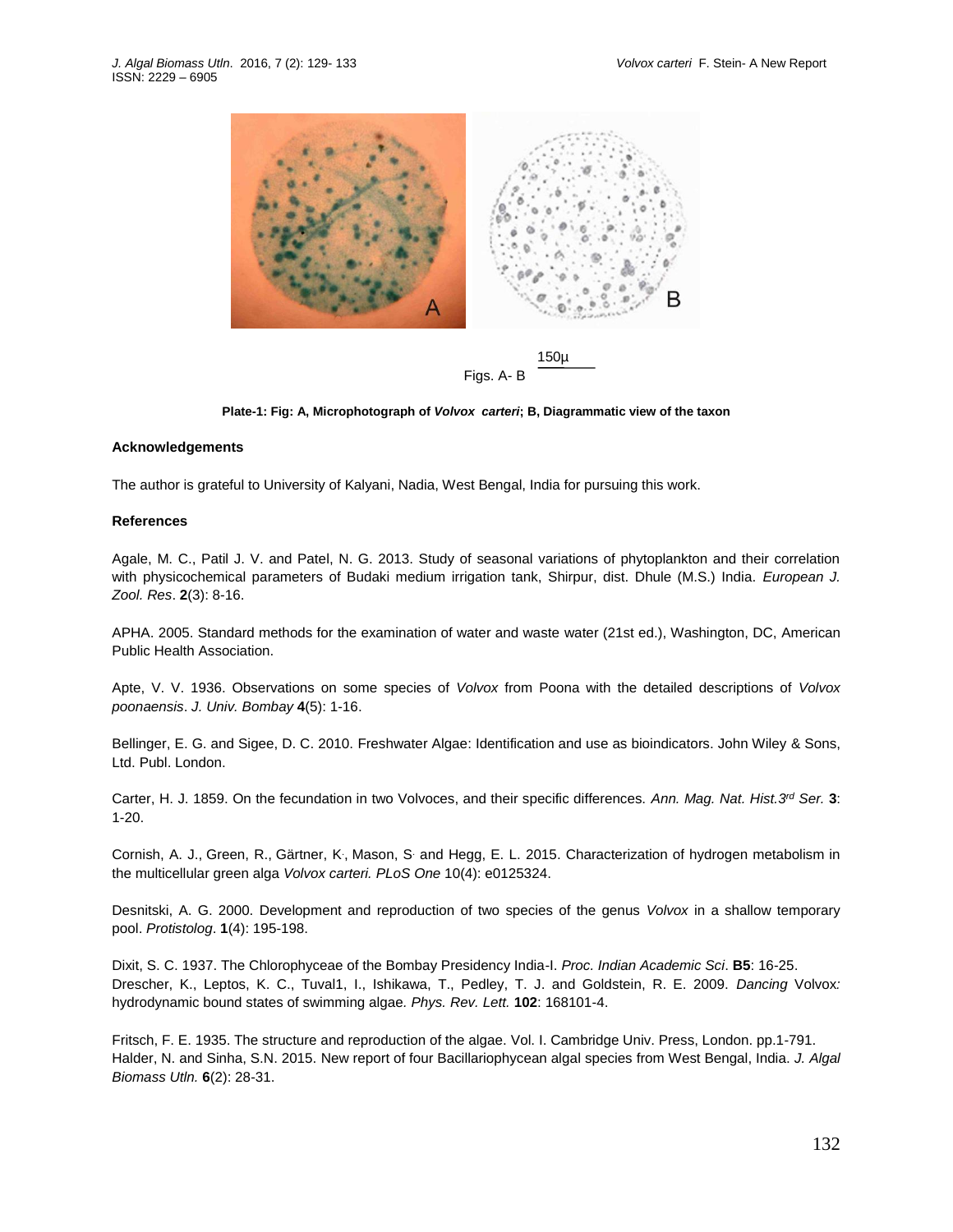

Figs. A- B

**Plate-1: Fig: A, Microphotograph of** *Volvox carteri***; B, Diagrammatic view of the taxon**

#### **Acknowledgements**

The author is grateful to University of Kalyani, Nadia, West Bengal, India for pursuing this work.

#### **References**

Agale, M. C., Patil J. V. and Patel, N. G. 2013. Study of seasonal variations of phytoplankton and their correlation with physicochemical parameters of Budaki medium irrigation tank, Shirpur, dist. Dhule (M.S.) India. *European J. Zool. Res*. **2**(3): 8-16.

APHA. 2005. Standard methods for the examination of water and waste water (21st ed.), Washington, DC, American Public Health Association.

Apte, V. V. 1936. Observations on some species of *Volvox* from Poona with the detailed descriptions of *Volvox poonaensis*. *J. Univ. Bombay* **4**(5): 1-16.

Bellinger, E. G. and Sigee, D. C. 2010. Freshwater Algae: Identification and use as bioindicators. John Wiley & Sons, Ltd. Publ. London.

Carter, H. J. 1859. On the fecundation in two Volvoces, and their specific differences. *Ann. Mag. Nat. Hist.3rd Ser.* **3**: 1-20.

[Cornish, A. J.](http://www.ncbi.nlm.nih.gov/pubmed/?term=Cornish%20AJ%5BAuthor%5D&cauthor=true&cauthor_uid=25927230), [Green, R.](http://www.ncbi.nlm.nih.gov/pubmed/?term=Green%20R%5BAuthor%5D&cauthor=true&cauthor_uid=25927230), [Gärtner, K](http://www.ncbi.nlm.nih.gov/pubmed/?term=G%C3%A4rtner%20K%5BAuthor%5D&cauthor=true&cauthor_uid=25927230)., [Mason, S](http://www.ncbi.nlm.nih.gov/pubmed/?term=Mason%20S%5BAuthor%5D&cauthor=true&cauthor_uid=25927230). and [Hegg, E. L.](http://www.ncbi.nlm.nih.gov/pubmed/?term=Hegg%20EL%5BAuthor%5D&cauthor=true&cauthor_uid=25927230) 2015. Characterization of hydrogen metabolism in the multicellular green alga *Volvox carteri. PLoS One* 10(4): e0125324.

Desnitski, A. G. 2000. Development and reproduction of two species of the genus *Volvox* in a shallow temporary pool. *Protistolog*. **1**(4): 195-198.

Dixit, S. C. 1937. The Chlorophyceae of the Bombay Presidency India-I. *Proc. Indian Academic Sci*. **B5**: 16-25. Drescher, K., Leptos, K. C., Tuval1, I., Ishikawa, T., Pedley, T. J. and Goldstein, R. E. 2009. *Dancing* Volvox*:*  hydrodynamic bound states of swimming algae*. Phys. Rev. Lett.* **102**: 168101-4.

Fritsch, F. E. 1935. The structure and reproduction of the algae. Vol. I. Cambridge Univ. Press, London. pp.1-791. Halder, N. and Sinha, S.N. 2015. New report of four Bacillariophycean algal species from West Bengal, India. *J. Algal Biomass Utln.* **6**(2): 28-31.